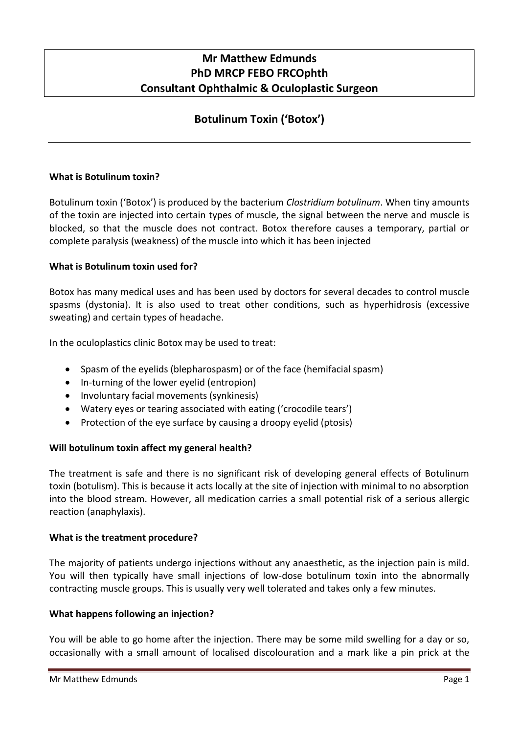# **Mr Matthew Edmunds PhD MRCP FEBO FRCOphth Consultant Ophthalmic & Oculoplastic Surgeon**

# **Botulinum Toxin ('Botox')**

### **What is Botulinum toxin?**

Botulinum toxin ('Botox') is produced by the bacterium *Clostridium botulinum*. When tiny amounts of the toxin are injected into certain types of muscle, the signal between the nerve and muscle is blocked, so that the muscle does not contract. Botox therefore causes a temporary, partial or complete paralysis (weakness) of the muscle into which it has been injected

### **What is Botulinum toxin used for?**

Botox has many medical uses and has been used by doctors for several decades to control muscle spasms (dystonia). It is also used to treat other conditions, such as hyperhidrosis (excessive sweating) and certain types of headache.

In the oculoplastics clinic Botox may be used to treat:

- Spasm of the eyelids (blepharospasm) or of the face (hemifacial spasm)
- In-turning of the lower eyelid (entropion)
- Involuntary facial movements (synkinesis)
- Watery eyes or tearing associated with eating ('crocodile tears')
- Protection of the eye surface by causing a droopy eyelid (ptosis)

## **Will botulinum toxin affect my general health?**

The treatment is safe and there is no significant risk of developing general effects of Botulinum toxin (botulism). This is because it acts locally at the site of injection with minimal to no absorption into the blood stream. However, all medication carries a small potential risk of a serious allergic reaction (anaphylaxis).

#### **What is the treatment procedure?**

The majority of patients undergo injections without any anaesthetic, as the injection pain is mild. You will then typically have small injections of low-dose botulinum toxin into the abnormally contracting muscle groups. This is usually very well tolerated and takes only a few minutes.

#### **What happens following an injection?**

You will be able to go home after the injection. There may be some mild swelling for a day or so, occasionally with a small amount of localised discolouration and a mark like a pin prick at the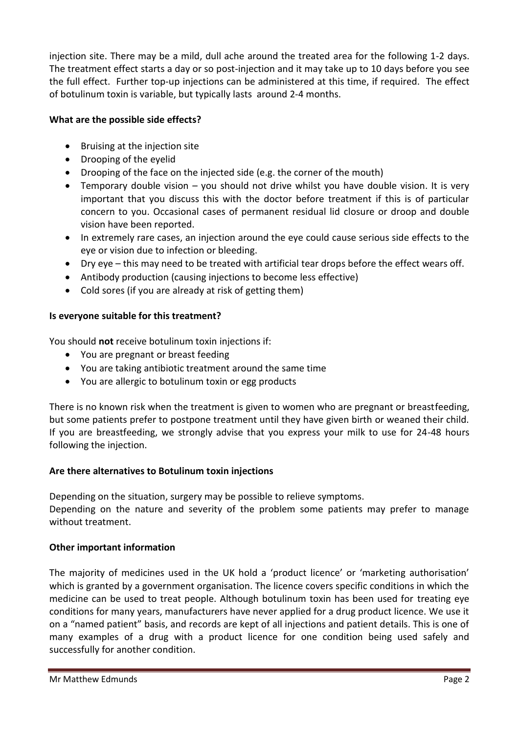injection site. There may be a mild, dull ache around the treated area for the following 1-2 days. The treatment effect starts a day or so post-injection and it may take up to 10 days before you see the full effect. Further top-up injections can be administered at this time, if required. The effect of botulinum toxin is variable, but typically lasts around 2-4 months.

## **What are the possible side effects?**

- Bruising at the injection site
- Drooping of the eyelid
- Drooping of the face on the injected side (e.g. the corner of the mouth)
- Temporary double vision you should not drive whilst you have double vision. It is very important that you discuss this with the doctor before treatment if this is of particular concern to you. Occasional cases of permanent residual lid closure or droop and double vision have been reported.
- In extremely rare cases, an injection around the eye could cause serious side effects to the eye or vision due to infection or bleeding.
- Dry eye this may need to be treated with artificial tear drops before the effect wears off.
- Antibody production (causing injections to become less effective)
- Cold sores (if you are already at risk of getting them)

## **Is everyone suitable for this treatment?**

You should **not** receive botulinum toxin injections if:

- You are pregnant or breast feeding
- You are taking antibiotic treatment around the same time
- You are allergic to botulinum toxin or egg products

There is no known risk when the treatment is given to women who are pregnant or breastfeeding, but some patients prefer to postpone treatment until they have given birth or weaned their child. If you are breastfeeding, we strongly advise that you express your milk to use for 24-48 hours following the injection.

## **Are there alternatives to Botulinum toxin injections**

Depending on the situation, surgery may be possible to relieve symptoms.

Depending on the nature and severity of the problem some patients may prefer to manage without treatment.

## **Other important information**

The majority of medicines used in the UK hold a 'product licence' or 'marketing authorisation' which is granted by a government organisation. The licence covers specific conditions in which the medicine can be used to treat people. Although botulinum toxin has been used for treating eye conditions for many years, manufacturers have never applied for a drug product licence. We use it on a "named patient" basis, and records are kept of all injections and patient details. This is one of many examples of a drug with a product licence for one condition being used safely and successfully for another condition.